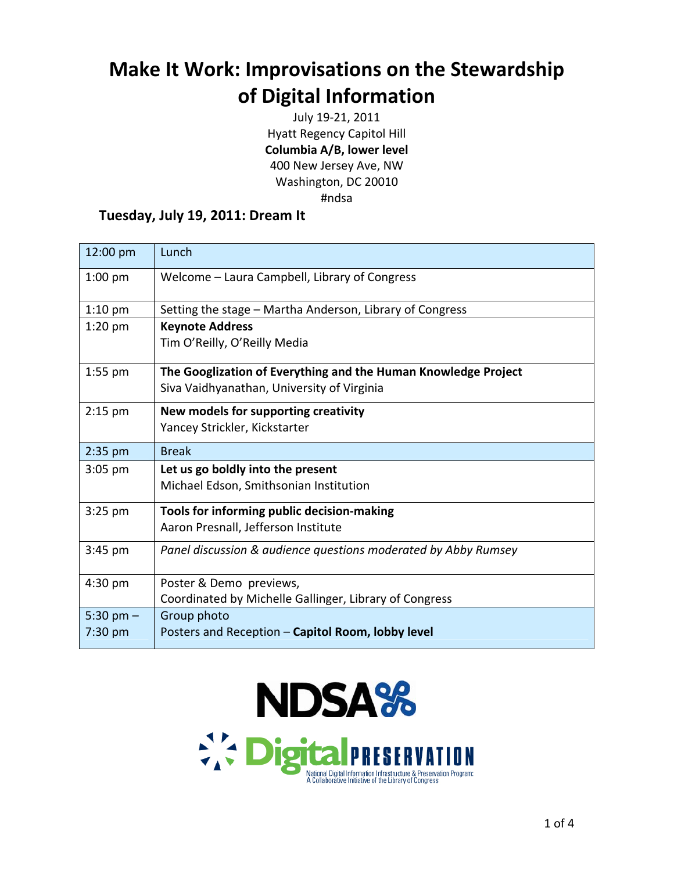## **Make It Work: Improvisations on the Stewardship of Digital Information**

July 19‐21, 2011 Hyatt Regency Capitol Hill **Columbia A/B, lower level** 400 New Jersey Ave, NW Washington, DC 20010 #ndsa

## **Tuesday, July 19, 2011: Dream It**

| 12:00 pm               | Lunch                                                                                                        |
|------------------------|--------------------------------------------------------------------------------------------------------------|
| $1:00$ pm              | Welcome - Laura Campbell, Library of Congress                                                                |
| $1:10$ pm              | Setting the stage – Martha Anderson, Library of Congress                                                     |
| $1:20$ pm              | <b>Keynote Address</b><br>Tim O'Reilly, O'Reilly Media                                                       |
| $1:55$ pm              | The Googlization of Everything and the Human Knowledge Project<br>Siva Vaidhyanathan, University of Virginia |
| $2:15$ pm              | New models for supporting creativity<br>Yancey Strickler, Kickstarter                                        |
| $2:35$ pm              | <b>Break</b>                                                                                                 |
| $3:05$ pm              | Let us go boldly into the present<br>Michael Edson, Smithsonian Institution                                  |
| $3:25$ pm              | Tools for informing public decision-making<br>Aaron Presnall, Jefferson Institute                            |
| $3:45$ pm              | Panel discussion & audience questions moderated by Abby Rumsey                                               |
| 4:30 pm                | Poster & Demo previews,<br>Coordinated by Michelle Gallinger, Library of Congress                            |
| 5:30 pm $-$<br>7:30 pm | Group photo<br>Posters and Reception - Capitol Room, lobby level                                             |

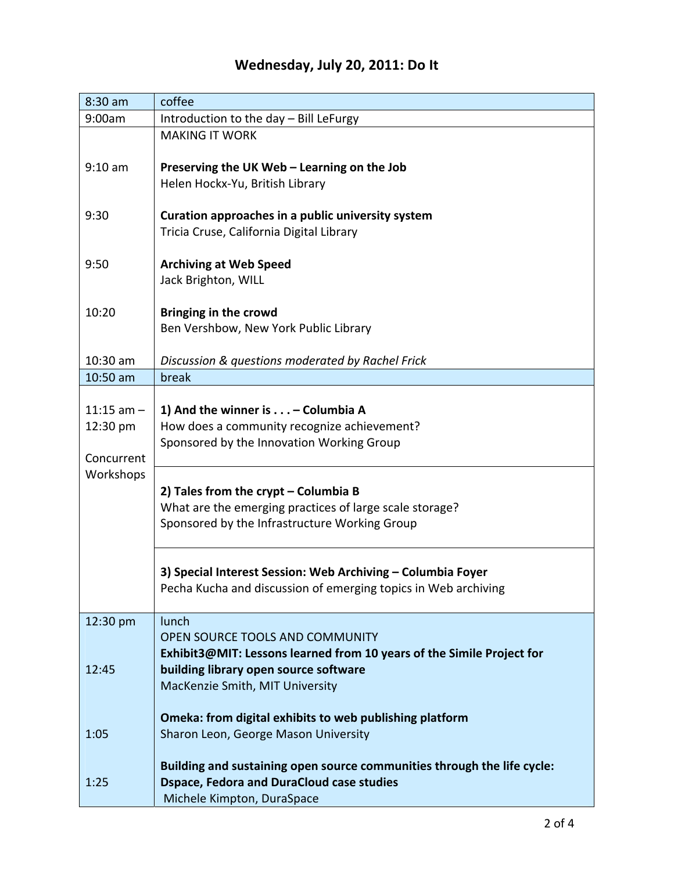## **Wednesday, July 20, 2011: Do It**

| $8:30$ am               | coffee                                                                                        |
|-------------------------|-----------------------------------------------------------------------------------------------|
| 9:00am                  | Introduction to the day - Bill LeFurgy                                                        |
|                         | <b>MAKING IT WORK</b>                                                                         |
| $9:10$ am               | Preserving the UK Web - Learning on the Job                                                   |
|                         | Helen Hockx-Yu, British Library                                                               |
|                         |                                                                                               |
| 9:30                    | Curation approaches in a public university system<br>Tricia Cruse, California Digital Library |
|                         |                                                                                               |
| 9:50                    | <b>Archiving at Web Speed</b>                                                                 |
|                         | Jack Brighton, WILL                                                                           |
| 10:20                   | <b>Bringing in the crowd</b>                                                                  |
|                         | Ben Vershbow, New York Public Library                                                         |
|                         |                                                                                               |
| $10:30$ am              | Discussion & questions moderated by Rachel Frick                                              |
| $10:50$ am              | break                                                                                         |
|                         |                                                                                               |
| $11:15$ am $-$          | 1) And the winner is - Columbia A                                                             |
| 12:30 pm                | How does a community recognize achievement?                                                   |
|                         | Sponsored by the Innovation Working Group                                                     |
| Concurrent<br>Workshops |                                                                                               |
|                         | 2) Tales from the crypt - Columbia B                                                          |
|                         | What are the emerging practices of large scale storage?                                       |
|                         | Sponsored by the Infrastructure Working Group                                                 |
|                         |                                                                                               |
|                         |                                                                                               |
|                         | 3) Special Interest Session: Web Archiving - Columbia Foyer                                   |
|                         | Pecha Kucha and discussion of emerging topics in Web archiving                                |
| 12:30 pm                | lunch                                                                                         |
|                         | OPEN SOURCE TOOLS AND COMMUNITY                                                               |
|                         | Exhibit3@MIT: Lessons learned from 10 years of the Simile Project for                         |
| 12:45                   | building library open source software                                                         |
|                         | MacKenzie Smith, MIT University                                                               |
|                         |                                                                                               |
|                         | Omeka: from digital exhibits to web publishing platform                                       |
| 1:05                    | Sharon Leon, George Mason University                                                          |
|                         | Building and sustaining open source communities through the life cycle:                       |
| 1:25                    | <b>Dspace, Fedora and DuraCloud case studies</b>                                              |
|                         | Michele Kimpton, DuraSpace                                                                    |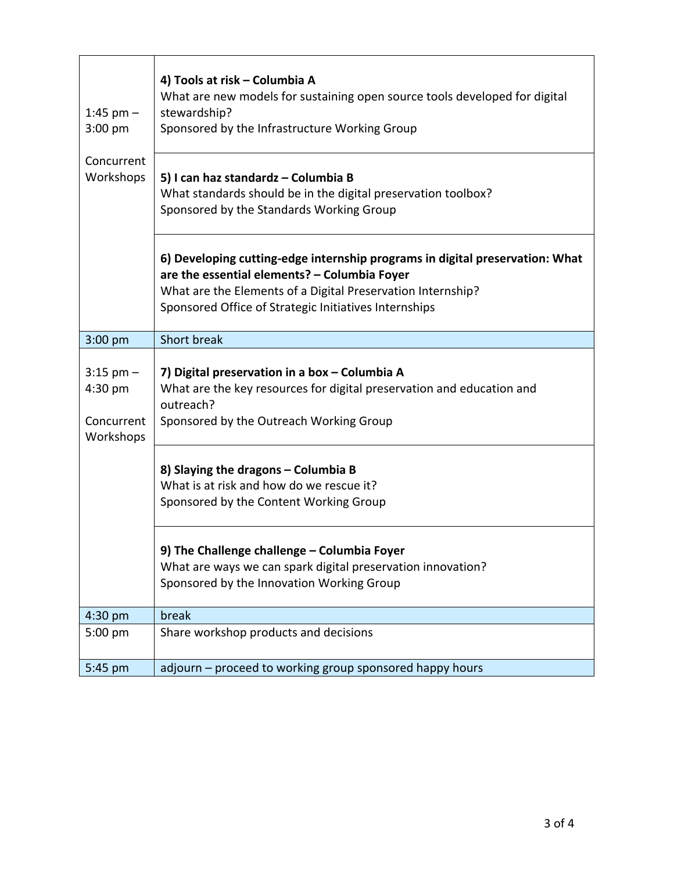| 1:45 pm $-$<br>3:00 pm                              | 4) Tools at risk - Columbia A<br>What are new models for sustaining open source tools developed for digital<br>stewardship?<br>Sponsored by the Infrastructure Working Group                                                                         |
|-----------------------------------------------------|------------------------------------------------------------------------------------------------------------------------------------------------------------------------------------------------------------------------------------------------------|
| Concurrent<br>Workshops                             | 5) I can haz standardz - Columbia B<br>What standards should be in the digital preservation toolbox?<br>Sponsored by the Standards Working Group                                                                                                     |
|                                                     | 6) Developing cutting-edge internship programs in digital preservation: What<br>are the essential elements? - Columbia Foyer<br>What are the Elements of a Digital Preservation Internship?<br>Sponsored Office of Strategic Initiatives Internships |
| 3:00 pm                                             | <b>Short break</b>                                                                                                                                                                                                                                   |
| $3:15$ pm $-$<br>4:30 pm<br>Concurrent<br>Workshops | 7) Digital preservation in a box - Columbia A<br>What are the key resources for digital preservation and education and<br>outreach?<br>Sponsored by the Outreach Working Group                                                                       |
|                                                     | 8) Slaying the dragons - Columbia B<br>What is at risk and how do we rescue it?<br>Sponsored by the Content Working Group                                                                                                                            |
|                                                     | 9) The Challenge challenge - Columbia Foyer<br>What are ways we can spark digital preservation innovation?<br>Sponsored by the Innovation Working Group                                                                                              |
| 4:30 pm                                             | break                                                                                                                                                                                                                                                |
| 5:00 pm                                             | Share workshop products and decisions                                                                                                                                                                                                                |
| 5:45 pm                                             | adjourn - proceed to working group sponsored happy hours                                                                                                                                                                                             |